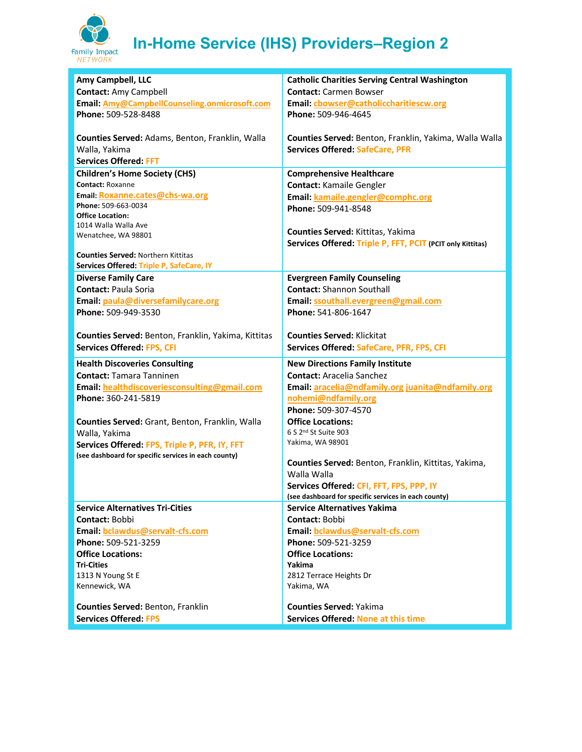

## **In-Home Service (IHS) Providers–Region 2**

| Amy Campbell, LLC                                                        | <b>Catholic Charities Serving Central Washington</b>                         |
|--------------------------------------------------------------------------|------------------------------------------------------------------------------|
| <b>Contact: Amy Campbell</b>                                             | <b>Contact: Carmen Bowser</b>                                                |
|                                                                          |                                                                              |
| Email: Amy@CampbellCounseling.onmicrosoft.com                            | Email: cbowser@catholiccharitiescw.org                                       |
| Phone: 509-528-8488                                                      | Phone: 509-946-4645                                                          |
|                                                                          |                                                                              |
| Counties Served: Adams, Benton, Franklin, Walla                          | Counties Served: Benton, Franklin, Yakima, Walla Walla                       |
| Walla, Yakima                                                            | <b>Services Offered: SafeCare, PFR</b>                                       |
| <b>Services Offered: FFT</b>                                             |                                                                              |
| <b>Children's Home Society (CHS)</b>                                     | <b>Comprehensive Healthcare</b>                                              |
| <b>Contact: Roxanne</b>                                                  |                                                                              |
|                                                                          | <b>Contact: Kamaile Gengler</b>                                              |
| Email: Roxanne.cates@chs-wa.org                                          | Email: kamaile.gengler@comphc.org                                            |
| Phone: 509-663-0034<br><b>Office Location:</b>                           | Phone: 509-941-8548                                                          |
| 1014 Walla Walla Ave                                                     |                                                                              |
| Wenatchee, WA 98801                                                      | Counties Served: Kittitas, Yakima                                            |
|                                                                          | Services Offered: Triple P, FFT, PCIT (PCIT only Kittitas)                   |
| <b>Counties Served: Northern Kittitas</b>                                |                                                                              |
| Services Offered: Triple P, SafeCare, IY                                 |                                                                              |
|                                                                          |                                                                              |
| <b>Diverse Family Care</b>                                               | <b>Evergreen Family Counseling</b>                                           |
| <b>Contact: Paula Soria</b>                                              | <b>Contact: Shannon Southall</b>                                             |
| Email: paula@diversefamilycare.org                                       | Email: ssouthall.evergreen@gmail.com                                         |
| Phone: 509-949-3530                                                      | Phone: 541-806-1647                                                          |
|                                                                          |                                                                              |
| Counties Served: Benton, Franklin, Yakima, Kittitas                      | <b>Counties Served: Klickitat</b>                                            |
| <b>Services Offered: FPS, CFI</b>                                        | Services Offered: SafeCare, PFR, FPS, CFI                                    |
|                                                                          |                                                                              |
| <b>Health Discoveries Consulting</b>                                     | <b>New Directions Family Institute</b>                                       |
| <b>Contact: Tamara Tanninen</b>                                          | <b>Contact:</b> Aracelia Sanchez                                             |
| Email: healthdiscoveriesconsulting@gmail.com                             | Email: aracelia@ndfamily.org juanita@ndfamily.org                            |
| Phone: 360-241-5819                                                      | nohemi@ndfamily.org                                                          |
|                                                                          | Phone: 509-307-4570                                                          |
|                                                                          |                                                                              |
| Counties Served: Grant, Benton, Franklin, Walla                          | <b>Office Locations:</b>                                                     |
| Walla, Yakima                                                            | 6 S 2 <sup>nd</sup> St Suite 903                                             |
| Services Offered: FPS, Triple P, PFR, IY, FFT                            | Yakima, WA 98901                                                             |
| (see dashboard for specific services in each county)                     |                                                                              |
|                                                                          | Counties Served: Benton, Franklin, Kittitas, Yakima,                         |
|                                                                          | Walla Walla                                                                  |
|                                                                          | Services Offered: CFI, FFT, FPS, PPP, IY                                     |
|                                                                          |                                                                              |
|                                                                          | (see dashboard for specific services in each county)                         |
| <b>Service Alternatives Tri-Cities</b>                                   | <b>Service Alternatives Yakima</b>                                           |
| Contact: Bobbi                                                           |                                                                              |
|                                                                          | Contact: Bobbi                                                               |
| Email: bclawdus@servalt-cfs.com                                          | Email: bclawdus@servalt-cfs.com                                              |
| Phone: 509-521-3259                                                      | Phone: 509-521-3259                                                          |
| <b>Office Locations:</b>                                                 | <b>Office Locations:</b>                                                     |
| <b>Tri-Cities</b>                                                        | Yakima                                                                       |
| 1313 N Young St E                                                        | 2812 Terrace Heights Dr                                                      |
| Kennewick, WA                                                            | Yakima, WA                                                                   |
|                                                                          |                                                                              |
| <b>Counties Served: Benton, Franklin</b><br><b>Services Offered: FPS</b> | <b>Counties Served: Yakima</b><br><b>Services Offered: None at this time</b> |